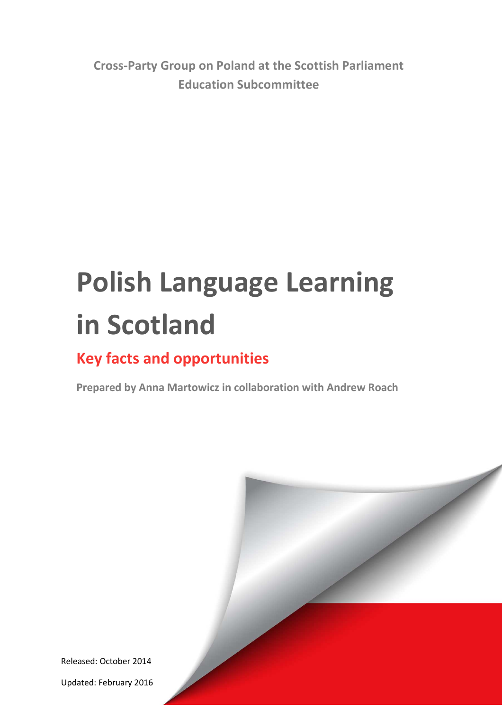**Cross-Party Group on Poland at the Scottish Parliament Education Subcommittee** 

# **Polish Language Learning in Scotland**

# **Key facts and opportunities**

**Prepared by Anna Martowicz in collaboration with Andrew Roach**

Released: October 2014

Updated: February 2016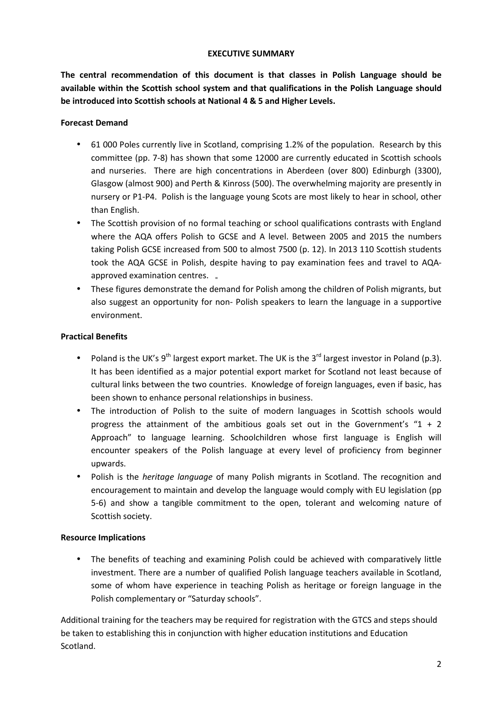#### **EXECUTIVE SUMMARY**

**The central recommendation of this document is that classes in Polish Language should be available within the Scottish school system and that qualifications in the Polish Language should be introduced into Scottish schools at National 4 & 5 and Higher Levels.** 

#### **Forecast Demand**

- 61 000 Poles currently live in Scotland, comprising 1.2% of the population. Research by this committee (pp. 7-8) has shown that some 12000 are currently educated in Scottish schools and nurseries. There are high concentrations in Aberdeen (over 800) Edinburgh (3300), Glasgow (almost 900) and Perth & Kinross (500). The overwhelming majority are presently in nursery or P1-P4. Polish is the language young Scots are most likely to hear in school, other than English.
- The Scottish provision of no formal teaching or school qualifications contrasts with England where the AQA offers Polish to GCSE and A level. Between 2005 and 2015 the numbers taking Polish GCSE increased from 500 to almost 7500 (p. 12). In 2013 110 Scottish students took the AQA GCSE in Polish, despite having to pay examination fees and travel to AQAapproved examination centres.  $\overline{a}$
- These figures demonstrate the demand for Polish among the children of Polish migrants, but also suggest an opportunity for non- Polish speakers to learn the language in a supportive environment.

#### **Practical Benefits**

- Poland is the UK's  $9^{th}$  largest export market. The UK is the  $3^{rd}$  largest investor in Poland (p.3). It has been identified as a major potential export market for Scotland not least because of cultural links between the two countries. Knowledge of foreign languages, even if basic, has been shown to enhance personal relationships in business.
- The introduction of Polish to the suite of modern languages in Scottish schools would progress the attainment of the ambitious goals set out in the Government's "1 + 2 Approach" to language learning. Schoolchildren whose first language is English will encounter speakers of the Polish language at every level of proficiency from beginner upwards.
- Polish is the *heritage language* of many Polish migrants in Scotland. The recognition and encouragement to maintain and develop the language would comply with EU legislation (pp 5-6) and show a tangible commitment to the open, tolerant and welcoming nature of Scottish society.

#### **Resource Implications**

• The benefits of teaching and examining Polish could be achieved with comparatively little investment. There are a number of qualified Polish language teachers available in Scotland, some of whom have experience in teaching Polish as heritage or foreign language in the Polish complementary or "Saturday schools".

Additional training for the teachers may be required for registration with the GTCS and steps should be taken to establishing this in conjunction with higher education institutions and Education Scotland.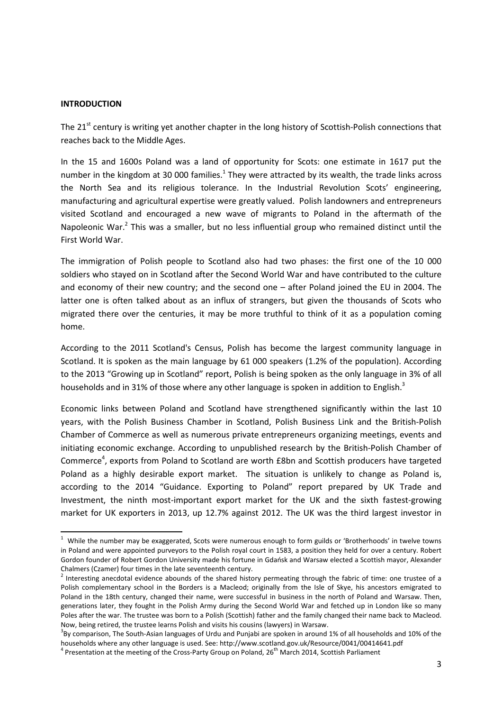#### **INTRODUCTION**

 $\overline{\phantom{0}}$ 

The 21<sup>st</sup> century is writing yet another chapter in the long history of Scottish-Polish connections that reaches back to the Middle Ages.

In the 15 and 1600s Poland was a land of opportunity for Scots: one estimate in 1617 put the number in the kingdom at 30 000 families.<sup>1</sup> They were attracted by its wealth, the trade links across the North Sea and its religious tolerance. In the Industrial Revolution Scots' engineering, manufacturing and agricultural expertise were greatly valued. Polish landowners and entrepreneurs visited Scotland and encouraged a new wave of migrants to Poland in the aftermath of the Napoleonic War.<sup>2</sup> This was a smaller, but no less influential group who remained distinct until the First World War.

The immigration of Polish people to Scotland also had two phases: the first one of the 10 000 soldiers who stayed on in Scotland after the Second World War and have contributed to the culture and economy of their new country; and the second one – after Poland joined the EU in 2004. The latter one is often talked about as an influx of strangers, but given the thousands of Scots who migrated there over the centuries, it may be more truthful to think of it as a population coming home.

According to the 2011 Scotland's Census, Polish has become the largest community language in Scotland. It is spoken as the main language by 61 000 speakers (1.2% of the population). According to the 2013 "Growing up in Scotland" report, Polish is being spoken as the only language in 3% of all households and in 31% of those where any other language is spoken in addition to English.<sup>3</sup>

Economic links between Poland and Scotland have strengthened significantly within the last 10 years, with the Polish Business Chamber in Scotland, Polish Business Link and the British-Polish Chamber of Commerce as well as numerous private entrepreneurs organizing meetings, events and initiating economic exchange. According to unpublished research by the British-Polish Chamber of Commerce<sup>4</sup>, exports from Poland to Scotland are worth £8bn and Scottish producers have targeted Poland as a highly desirable export market. The situation is unlikely to change as Poland is, according to the 2014 "Guidance. Exporting to Poland" report prepared by UK Trade and Investment, the ninth most-important export market for the UK and the sixth fastest-growing market for UK exporters in 2013, up 12.7% against 2012. The UK was the third largest investor in

 $1$  While the number may be exaggerated, Scots were numerous enough to form guilds or 'Brotherhoods' in twelve towns in Poland and were appointed purveyors to the Polish royal court in 1583, a position they held for over a century. Robert Gordon founder of Robert Gordon University made his fortune in Gdańsk and Warsaw elected a Scottish mayor, Alexander Chalmers (Czamer) four times in the late seventeenth century.

 $^2$  Interesting anecdotal evidence abounds of the shared history permeating through the fabric of time: one trustee of a Polish complementary school in the Borders is a Macleod; originally from the Isle of Skye, his ancestors emigrated to Poland in the 18th century, changed their name, were successful in business in the north of Poland and Warsaw. Then, generations later, they fought in the Polish Army during the Second World War and fetched up in London like so many Poles after the war. The trustee was born to a Polish (Scottish) father and the family changed their name back to Macleod. Now, being retired, the trustee learns Polish and visits his cousins (lawyers) in Warsaw.

 $3$ By comparison, The South-Asian languages of Urdu and Punjabi are spoken in around 1% of all households and 10% of the households where any other language is used. See: http://www.scotland.gov.uk/Resource/0041/00414641.pdf

<sup>&</sup>lt;sup>4</sup> Presentation at the meeting of the Cross-Party Group on Poland, 26<sup>th</sup> March 2014, Scottish Parliament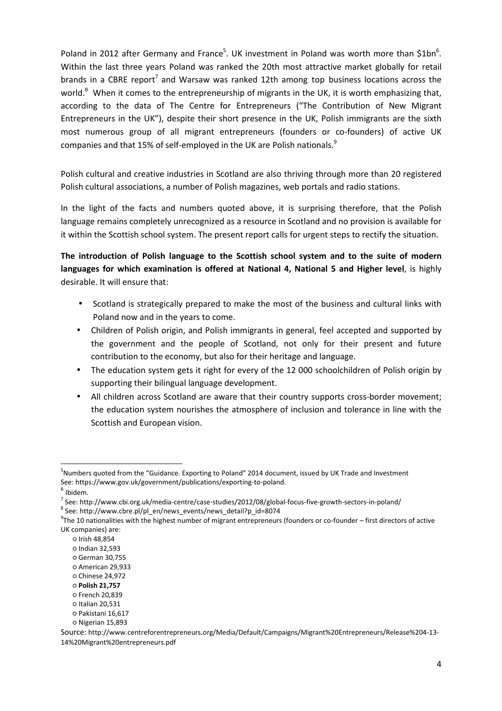Poland in 2012 after Germany and France<sup>5</sup>. UK investment in Poland was worth more than \$1bn<sup>6</sup>. Within the last three years Poland was ranked the 20th most attractive market globally for retail brands in a CBRE report<sup>7</sup> and Warsaw was ranked 12th among top business locations across the world.<sup>8</sup> When it comes to the entrepreneurship of migrants in the UK, it is worth emphasizing that, according to the data of The Centre for Entrepreneurs ("The Contribution of New Migrant Entrepreneurs in the UK"), despite their short presence in the UK, Polish immigrants are the sixth most numerous group of all migrant entrepreneurs (founders or co-founders) of active UK companies and that 15% of self-employed in the UK are Polish nationals.<sup>9</sup>

Polish cultural and creative industries in Scotland are also thriving through more than 20 registered Polish cultural associations, a number of Polish magazines, web portals and radio stations.

In the light of the facts and numbers quoted above, it is surprising therefore, that the Polish language remains completely unrecognized as a resource in Scotland and no provision is available for it within the Scottish school system. The present report calls for urgent steps to rectify the situation.

**The introduction of Polish language to the Scottish school system and to the suite of modern languages for which examination is offered at National 4, National 5 and Higher level**, is highly desirable. It will ensure that:

- Scotland is strategically prepared to make the most of the business and cultural links with Poland now and in the years to come.
- Children of Polish origin, and Polish immigrants in general, feel accepted and supported by the government and the people of Scotland, not only for their present and future contribution to the economy, but also for their heritage and language.
- The education system gets it right for every of the 12 000 schoolchildren of Polish origin by supporting their bilingual language development.
- All children across Scotland are aware that their country supports cross-border movement; the education system nourishes the atmosphere of inclusion and tolerance in line with the Scottish and European vision.

l

<sup>&</sup>lt;sup>5</sup>Numbers quoted from the "Guidance. Exporting to Poland" 2014 document, issued by UK Trade and Investment See: https://www.gov.uk/government/publications/exporting-to-poland.

 $6$  Ibidem.

<sup>&</sup>lt;sup>7</sup> See: http://www.cbi.org.uk/media-centre/case-studies/2012/08/global-focus-five-growth-sectors-in-poland/

<sup>8</sup> See: http://www.cbre.pl/pl\_en/news\_events/news\_detail?p\_id=8074

 $9$ The 10 nationalities with the highest number of migrant entrepreneurs (founders or co-founder – first directors of active UK companies) are:

<sup>○</sup> Irish 48,854

<sup>○</sup> Indian 32,593

<sup>○</sup> German 30,755

<sup>○</sup> American 29,933

<sup>○</sup> Chinese 24,972

<sup>○</sup> **Polish 21,757**

<sup>○</sup> French 20,839

<sup>○</sup> Italian 20,531

<sup>○</sup> Pakistani 16,617

<sup>○</sup> Nigerian 15,893

Source: http://www.centreforentrepreneurs.org/Media/Default/Campaigns/Migrant%20Entrepreneurs/Release%204-13- 14%20Migrant%20entrepreneurs.pdf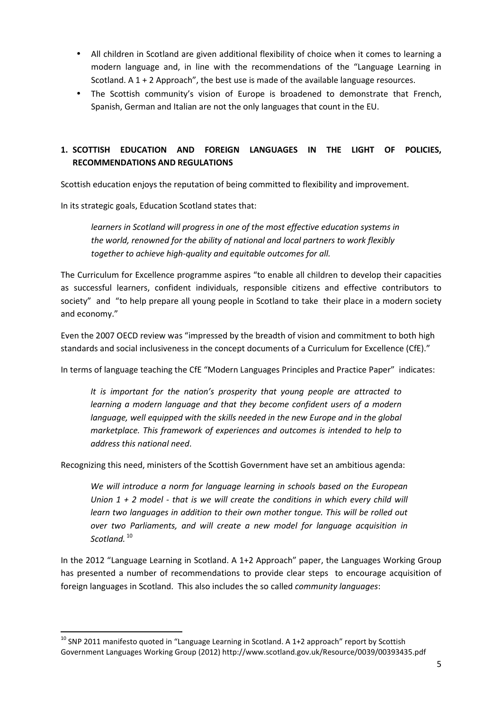- All children in Scotland are given additional flexibility of choice when it comes to learning a modern language and, in line with the recommendations of the "Language Learning in Scotland. A 1 + 2 Approach", the best use is made of the available language resources.
- The Scottish community's vision of Europe is broadened to demonstrate that French, Spanish, German and Italian are not the only languages that count in the EU.

## **1. SCOTTISH EDUCATION AND FOREIGN LANGUAGES IN THE LIGHT OF POLICIES, RECOMMENDATIONS AND REGULATIONS**

Scottish education enjoys the reputation of being committed to flexibility and improvement.

In its strategic goals, Education Scotland states that:

 $\overline{\phantom{0}}$ 

*learners in Scotland will progress in one of the most effective education systems in the world, renowned for the ability of national and local partners to work flexibly together to achieve high-quality and equitable outcomes for all.* 

The Curriculum for Excellence programme aspires "to enable all children to develop their capacities as successful learners, confident individuals, responsible citizens and effective contributors to society" and "to help prepare all young people in Scotland to take their place in a modern society and economy."

Even the 2007 OECD review was "impressed by the breadth of vision and commitment to both high standards and social inclusiveness in the concept documents of a Curriculum for Excellence (CfE)."

In terms of language teaching the CfE "Modern Languages Principles and Practice Paper" indicates:

*It is important for the nation's prosperity that young people are attracted to learning a modern language and that they become confident users of a modern language, well equipped with the skills needed in the new Europe and in the global marketplace. This framework of experiences and outcomes is intended to help to address this national need*.

Recognizing this need, ministers of the Scottish Government have set an ambitious agenda:

*We will introduce a norm for language learning in schools based on the European Union 1 + 2 model - that is we will create the conditions in which every child will learn two languages in addition to their own mother tongue. This will be rolled out over two Parliaments, and will create a new model for language acquisition in Scotland.* <sup>10</sup>

In the 2012 "Language Learning in Scotland. A 1+2 Approach" paper, the Languages Working Group has presented a number of recommendations to provide clear steps to encourage acquisition of foreign languages in Scotland. This also includes the so called *community languages*:

 $10$  SNP 2011 manifesto quoted in "Language Learning in Scotland. A 1+2 approach" report by Scottish Government Languages Working Group (2012) http://www.scotland.gov.uk/Resource/0039/00393435.pdf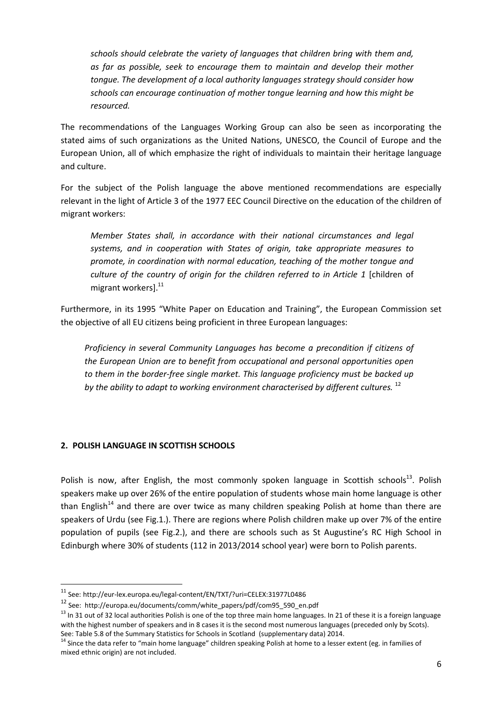*schools should celebrate the variety of languages that children bring with them and, as far as possible, seek to encourage them to maintain and develop their mother tongue. The development of a local authority languages strategy should consider how schools can encourage continuation of mother tongue learning and how this might be resourced.* 

The recommendations of the Languages Working Group can also be seen as incorporating the stated aims of such organizations as the United Nations, UNESCO, the Council of Europe and the European Union, all of which emphasize the right of individuals to maintain their heritage language and culture.

For the subject of the Polish language the above mentioned recommendations are especially relevant in the light of Article 3 of the 1977 EEC Council Directive on the education of the children of migrant workers:

*Member States shall, in accordance with their national circumstances and legal systems, and in cooperation with States of origin, take appropriate measures to promote, in coordination with normal education, teaching of the mother tongue and culture of the country of origin for the children referred to in Article 1* [children of migrant workers].<sup>11</sup>

Furthermore, in its 1995 "White Paper on Education and Training", the European Commission set the objective of all EU citizens being proficient in three European languages:

*Proficiency in several Community Languages has become a precondition if citizens of the European Union are to benefit from occupational and personal opportunities open to them in the border-free single market. This language proficiency must be backed up*  by the ability to adapt to working environment characterised by different cultures.<sup>12</sup>

#### **2. POLISH LANGUAGE IN SCOTTISH SCHOOLS**

l

Polish is now, after English, the most commonly spoken language in Scottish schools $^{13}$ . Polish speakers make up over 26% of the entire population of students whose main home language is other than English<sup>14</sup> and there are over twice as many children speaking Polish at home than there are speakers of Urdu (see Fig.1.). There are regions where Polish children make up over 7% of the entire population of pupils (see Fig.2.), and there are schools such as St Augustine's RC High School in Edinburgh where 30% of students (112 in 2013/2014 school year) were born to Polish parents.

<sup>11</sup> See: http://eur-lex.europa.eu/legal-content/EN/TXT/?uri=CELEX:31977L0486

<sup>12</sup> See: http://europa.eu/documents/comm/white\_papers/pdf/com95\_590\_en.pdf

 $<sup>13</sup>$  In 31 out of 32 local authorities Polish is one of the top three main home languages. In 21 of these it is a foreign language</sup> with the highest number of speakers and in 8 cases it is the second most numerous languages (preceded only by Scots). See: Table 5.8 of the Summary Statistics for Schools in Scotland (supplementary data) 2014.

<sup>&</sup>lt;sup>14</sup> Since the data refer to "main home language" children speaking Polish at home to a lesser extent (eg. in families of mixed ethnic origin) are not included.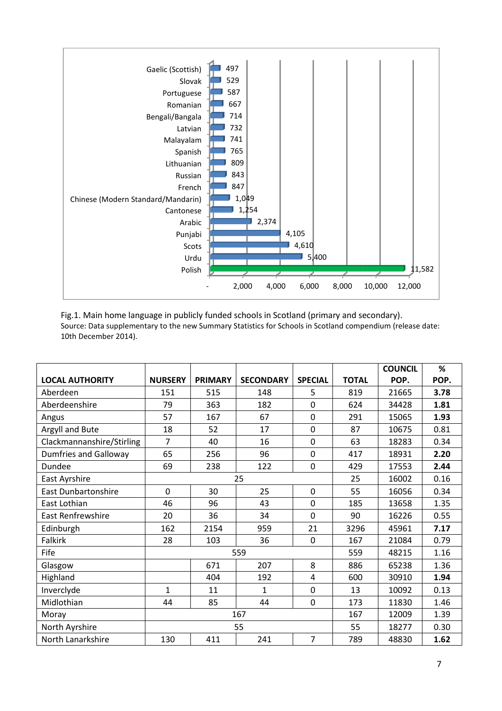

Fig.1. Main home language in publicly funded schools in Scotland (primary and secondary). Source: Data supplementary to the new Summary Statistics for Schools in Scotland compendium (release date: 10th December 2014).

|                              |                |                |                  |                |              | <b>COUNCIL</b> | %    |
|------------------------------|----------------|----------------|------------------|----------------|--------------|----------------|------|
| <b>LOCAL AUTHORITY</b>       | <b>NURSERY</b> | <b>PRIMARY</b> | <b>SECONDARY</b> | <b>SPECIAL</b> | <b>TOTAL</b> | POP.           | POP. |
| Aberdeen                     | 151            | 515            | 148              | 5              | 819          | 21665          | 3.78 |
| Aberdeenshire                | 79             | 363            | 182              | 0              | 624          | 34428          | 1.81 |
| Angus                        | 57             | 167            | 67               | 0              | 291          | 15065          | 1.93 |
| Argyll and Bute              | 18             | 52             | 17               | 0              | 87           | 10675          | 0.81 |
| Clackmannanshire/Stirling    | 7              | 40             | 16               | $\mathbf 0$    | 63           | 18283          | 0.34 |
| <b>Dumfries and Galloway</b> | 65             | 256            | 96               | 0              | 417          | 18931          | 2.20 |
| Dundee                       | 69             | 238            | 122              | 0              | 429          | 17553          | 2.44 |
| East Ayrshire                | 25             |                |                  | 25             | 16002        | 0.16           |      |
| <b>East Dunbartonshire</b>   | $\overline{0}$ | 30             | 25               | 0              | 55           | 16056          | 0.34 |
| East Lothian                 | 46             | 96             | 43               | 0              | 185          | 13658          | 1.35 |
| East Renfrewshire            | 20             | 36             | 34               | $\overline{0}$ | 90           | 16226          | 0.55 |
| Edinburgh                    | 162            | 2154           | 959              | 21             | 3296         | 45961          | 7.17 |
| Falkirk                      | 28             | 103            | 36               | 0              | 167          | 21084          | 0.79 |
| Fife                         | 559            |                |                  | 559            | 48215        | 1.16           |      |
| Glasgow                      |                | 671            | 207              | 8              | 886          | 65238          | 1.36 |
| Highland                     |                | 404            | 192              | $\overline{4}$ | 600          | 30910          | 1.94 |
| Inverclyde                   | 1              | 11             | 1                | 0              | 13           | 10092          | 0.13 |
| Midlothian                   | 44             | 85             | 44               | 0              | 173          | 11830          | 1.46 |
| Moray                        | 167            |                |                  |                | 167          | 12009          | 1.39 |
| North Ayrshire               | 55             |                |                  | 55             | 18277        | 0.30           |      |
| North Lanarkshire            | 130            | 411            | 241              | $\overline{7}$ | 789          | 48830          | 1.62 |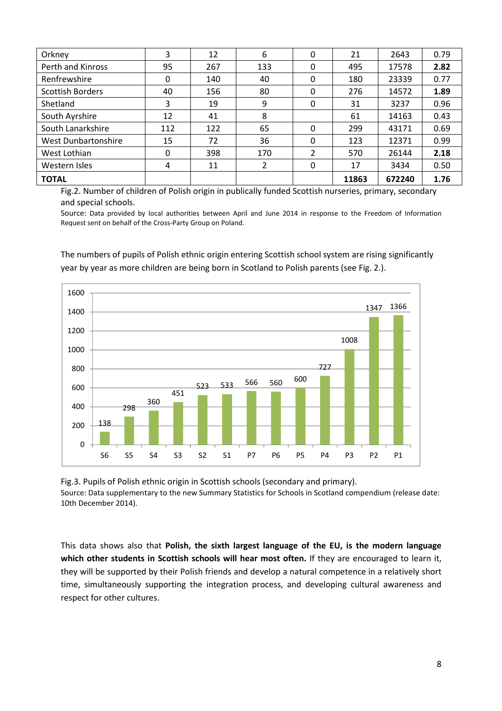| Orkney                  | 3            | 12  | 6   | 0 | 21    | 2643   | 0.79 |
|-------------------------|--------------|-----|-----|---|-------|--------|------|
| Perth and Kinross       | 95           | 267 | 133 | 0 | 495   | 17578  | 2.82 |
| Renfrewshire            | 0            | 140 | 40  | 0 | 180   | 23339  | 0.77 |
| <b>Scottish Borders</b> | 40           | 156 | 80  | 0 | 276   | 14572  | 1.89 |
| Shetland                | 3            | 19  | 9   | 0 | 31    | 3237   | 0.96 |
| South Ayrshire          | 12           | 41  | 8   |   | 61    | 14163  | 0.43 |
| South Lanarkshire       | 112          | 122 | 65  | 0 | 299   | 43171  | 0.69 |
| West Dunbartonshire     | 15           | 72  | 36  | 0 | 123   | 12371  | 0.99 |
| West Lothian            | $\mathbf{0}$ | 398 | 170 | 2 | 570   | 26144  | 2.18 |
| Western Isles           | 4            | 11  | 2   | 0 | 17    | 3434   | 0.50 |
| <b>TOTAL</b>            |              |     |     |   | 11863 | 672240 | 1.76 |

Fig.2. Number of children of Polish origin in publically funded Scottish nurseries, primary, secondary and special schools.

Source: Data provided by local authorities between April and June 2014 in response to the Freedom of Information Request sent on behalf of the Cross-Party Group on Poland.

The numbers of pupils of Polish ethnic origin entering Scottish school system are rising significantly year by year as more children are being born in Scotland to Polish parents (see Fig. 2.).



Fig.3. Pupils of Polish ethnic origin in Scottish schools (secondary and primary). Source: Data supplementary to the new Summary Statistics for Schools in Scotland compendium (release date: 10th December 2014).

This data shows also that **Polish, the sixth largest language of the EU, is the modern language**  which other students in Scottish schools will hear most often. If they are encouraged to learn it, they will be supported by their Polish friends and develop a natural competence in a relatively short time, simultaneously supporting the integration process, and developing cultural awareness and respect for other cultures.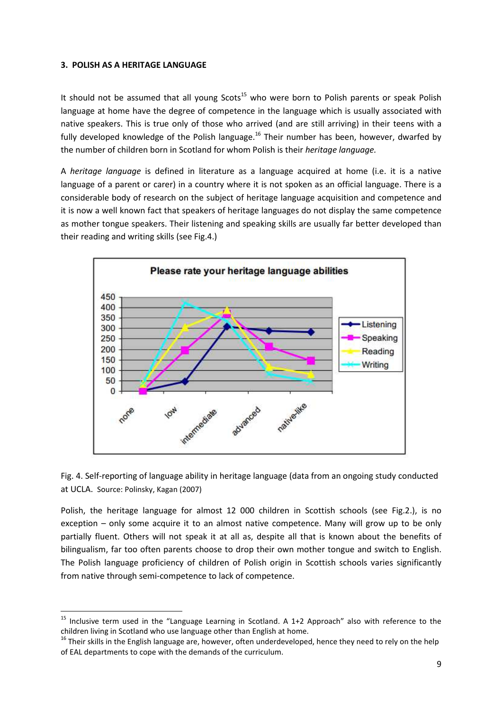#### **3. POLISH AS A HERITAGE LANGUAGE**

 $\overline{a}$ 

It should not be assumed that all young  $S\cot s^{15}$  who were born to Polish parents or speak Polish language at home have the degree of competence in the language which is usually associated with native speakers. This is true only of those who arrived (and are still arriving) in their teens with a fully developed knowledge of the Polish language.<sup>16</sup> Their number has been, however, dwarfed by the number of children born in Scotland for whom Polish is their *heritage language.* 

A *heritage language* is defined in literature as a language acquired at home (i.e. it is a native language of a parent or carer) in a country where it is not spoken as an official language. There is a considerable body of research on the subject of heritage language acquisition and competence and it is now a well known fact that speakers of heritage languages do not display the same competence as mother tongue speakers. Their listening and speaking skills are usually far better developed than their reading and writing skills (see Fig.4.)





Polish, the heritage language for almost 12 000 children in Scottish schools (see Fig.2.), is no exception – only some acquire it to an almost native competence. Many will grow up to be only partially fluent. Others will not speak it at all as, despite all that is known about the benefits of bilingualism, far too often parents choose to drop their own mother tongue and switch to English. The Polish language proficiency of children of Polish origin in Scottish schools varies significantly from native through semi-competence to lack of competence.

<sup>&</sup>lt;sup>15</sup> Inclusive term used in the "Language Learning in Scotland. A 1+2 Approach" also with reference to the children living in Scotland who use language other than English at home.

<sup>&</sup>lt;sup>16</sup> Their skills in the English language are, however, often underdeveloped, hence they need to rely on the help of EAL departments to cope with the demands of the curriculum.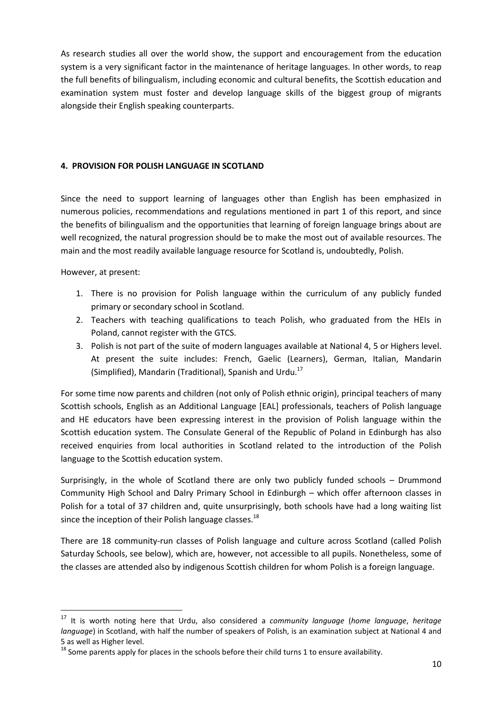As research studies all over the world show, the support and encouragement from the education system is a very significant factor in the maintenance of heritage languages. In other words, to reap the full benefits of bilingualism, including economic and cultural benefits, the Scottish education and examination system must foster and develop language skills of the biggest group of migrants alongside their English speaking counterparts.

#### **4. PROVISION FOR POLISH LANGUAGE IN SCOTLAND**

Since the need to support learning of languages other than English has been emphasized in numerous policies, recommendations and regulations mentioned in part 1 of this report, and since the benefits of bilingualism and the opportunities that learning of foreign language brings about are well recognized, the natural progression should be to make the most out of available resources. The main and the most readily available language resource for Scotland is, undoubtedly, Polish.

However, at present:

l

- 1. There is no provision for Polish language within the curriculum of any publicly funded primary or secondary school in Scotland.
- 2. Teachers with teaching qualifications to teach Polish, who graduated from the HEIs in Poland, cannot register with the GTCS.
- 3. Polish is not part of the suite of modern languages available at National 4, 5 or Highers level. At present the suite includes: French, Gaelic (Learners), German, Italian, Mandarin (Simplified), Mandarin (Traditional), Spanish and Urdu. $^{17}$

For some time now parents and children (not only of Polish ethnic origin), principal teachers of many Scottish schools, English as an Additional Language [EAL] professionals, teachers of Polish language and HE educators have been expressing interest in the provision of Polish language within the Scottish education system. The Consulate General of the Republic of Poland in Edinburgh has also received enquiries from local authorities in Scotland related to the introduction of the Polish language to the Scottish education system.

Surprisingly, in the whole of Scotland there are only two publicly funded schools – Drummond Community High School and Dalry Primary School in Edinburgh – which offer afternoon classes in Polish for a total of 37 children and, quite unsurprisingly, both schools have had a long waiting list since the inception of their Polish language classes.<sup>18</sup>

There are 18 community-run classes of Polish language and culture across Scotland (called Polish Saturday Schools, see below), which are, however, not accessible to all pupils. Nonetheless, some of the classes are attended also by indigenous Scottish children for whom Polish is a foreign language.

<sup>17</sup> It is worth noting here that Urdu, also considered a *community language* (*home language*, *heritage language*) in Scotland, with half the number of speakers of Polish, is an examination subject at National 4 and 5 as well as Higher level.

<sup>&</sup>lt;sup>18</sup> Some parents apply for places in the schools before their child turns 1 to ensure availability.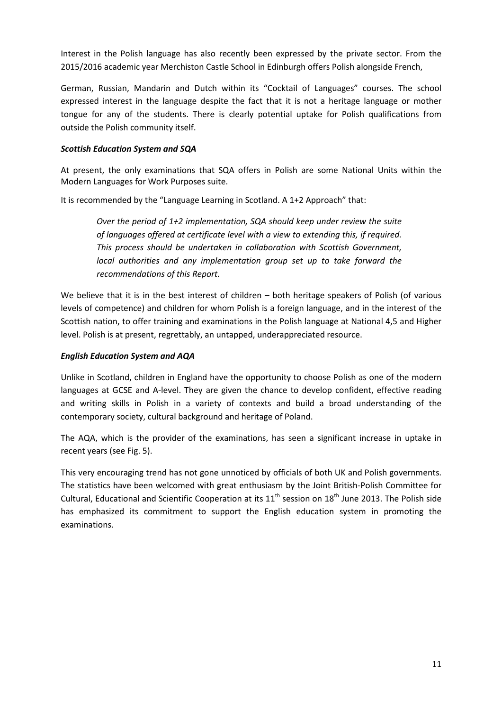Interest in the Polish language has also recently been expressed by the private sector. From the 2015/2016 academic year Merchiston Castle School in Edinburgh offers Polish alongside French,

German, Russian, Mandarin and Dutch within its "Cocktail of Languages" courses. The school expressed interest in the language despite the fact that it is not a heritage language or mother tongue for any of the students. There is clearly potential uptake for Polish qualifications from outside the Polish community itself.

#### *Scottish Education System and SQA*

At present, the only examinations that SQA offers in Polish are some National Units within the Modern Languages for Work Purposes suite.

It is recommended by the "Language Learning in Scotland. A 1+2 Approach" that:

*Over the period of 1+2 implementation, SQA should keep under review the suite of languages offered at certificate level with a view to extending this, if required. This process should be undertaken in collaboration with Scottish Government, local authorities and any implementation group set up to take forward the recommendations of this Report.* 

We believe that it is in the best interest of children – both heritage speakers of Polish (of various levels of competence) and children for whom Polish is a foreign language, and in the interest of the Scottish nation, to offer training and examinations in the Polish language at National 4,5 and Higher level. Polish is at present, regrettably, an untapped, underappreciated resource.

#### *English Education System and AQA*

Unlike in Scotland, children in England have the opportunity to choose Polish as one of the modern languages at GCSE and A-level. They are given the chance to develop confident, effective reading and writing skills in Polish in a variety of contexts and build a broad understanding of the contemporary society, cultural background and heritage of Poland.

The AQA, which is the provider of the examinations, has seen a significant increase in uptake in recent years (see Fig. 5).

This very encouraging trend has not gone unnoticed by officials of both UK and Polish governments. The statistics have been welcomed with great enthusiasm by the Joint British-Polish Committee for Cultural, Educational and Scientific Cooperation at its  $11^{th}$  session on  $18^{th}$  June 2013. The Polish side has emphasized its commitment to support the English education system in promoting the examinations.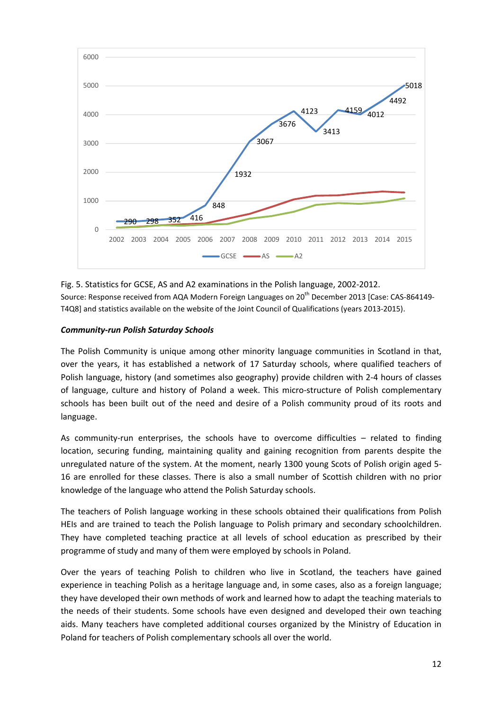

Fig. 5. Statistics for GCSE, AS and A2 examinations in the Polish language, 2002-2012. Source: Response received from AQA Modern Foreign Languages on 20<sup>th</sup> December 2013 [Case: CAS-864149-T4Q8] and statistics available on the website of the Joint Council of Qualifications (years 2013-2015).

#### *Community-run Polish Saturday Schools*

The Polish Community is unique among other minority language communities in Scotland in that, over the years, it has established a network of 17 Saturday schools, where qualified teachers of Polish language, history (and sometimes also geography) provide children with 2-4 hours of classes of language, culture and history of Poland a week. This micro-structure of Polish complementary schools has been built out of the need and desire of a Polish community proud of its roots and language.

As community-run enterprises, the schools have to overcome difficulties – related to finding location, securing funding, maintaining quality and gaining recognition from parents despite the unregulated nature of the system. At the moment, nearly 1300 young Scots of Polish origin aged 5- 16 are enrolled for these classes. There is also a small number of Scottish children with no prior knowledge of the language who attend the Polish Saturday schools.

The teachers of Polish language working in these schools obtained their qualifications from Polish HEIs and are trained to teach the Polish language to Polish primary and secondary schoolchildren. They have completed teaching practice at all levels of school education as prescribed by their programme of study and many of them were employed by schools in Poland.

Over the years of teaching Polish to children who live in Scotland, the teachers have gained experience in teaching Polish as a heritage language and, in some cases, also as a foreign language; they have developed their own methods of work and learned how to adapt the teaching materials to the needs of their students. Some schools have even designed and developed their own teaching aids. Many teachers have completed additional courses organized by the Ministry of Education in Poland for teachers of Polish complementary schools all over the world.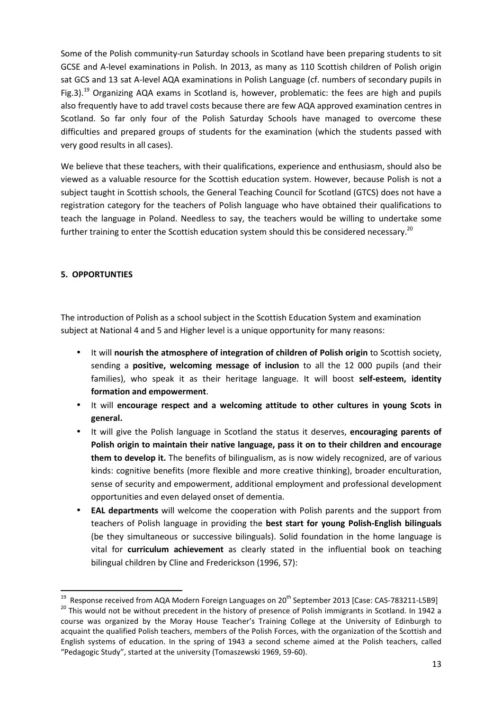Some of the Polish community-run Saturday schools in Scotland have been preparing students to sit GCSE and A-level examinations in Polish. In 2013, as many as 110 Scottish children of Polish origin sat GCS and 13 sat A-level AQA examinations in Polish Language (cf. numbers of secondary pupils in Fig.3).<sup>19</sup> Organizing AQA exams in Scotland is, however, problematic: the fees are high and pupils also frequently have to add travel costs because there are few AQA approved examination centres in Scotland. So far only four of the Polish Saturday Schools have managed to overcome these difficulties and prepared groups of students for the examination (which the students passed with very good results in all cases).

We believe that these teachers, with their qualifications, experience and enthusiasm, should also be viewed as a valuable resource for the Scottish education system. However, because Polish is not a subject taught in Scottish schools, the General Teaching Council for Scotland (GTCS) does not have a registration category for the teachers of Polish language who have obtained their qualifications to teach the language in Poland. Needless to say, the teachers would be willing to undertake some further training to enter the Scottish education system should this be considered necessary.<sup>20</sup>

#### **5. OPPORTUNTIES**

 $\overline{\phantom{0}}$ 

The introduction of Polish as a school subject in the Scottish Education System and examination subject at National 4 and 5 and Higher level is a unique opportunity for many reasons:

- It will **nourish the atmosphere of integration of children of Polish origin** to Scottish society, sending a **positive, welcoming message of inclusion** to all the 12 000 pupils (and their families), who speak it as their heritage language. It will boost **self-esteem, identity formation and empowerment**.
- It will **encourage respect and a welcoming attitude to other cultures in young Scots in general.**
- It will give the Polish language in Scotland the status it deserves, **encouraging parents of Polish origin to maintain their native language, pass it on to their children and encourage them to develop it.** The benefits of bilingualism, as is now widely recognized, are of various kinds: cognitive benefits (more flexible and more creative thinking), broader enculturation, sense of security and empowerment, additional employment and professional development opportunities and even delayed onset of dementia.
- **EAL departments** will welcome the cooperation with Polish parents and the support from teachers of Polish language in providing the **best start for young Polish-English bilinguals** (be they simultaneous or successive bilinguals). Solid foundation in the home language is vital for **curriculum achievement** as clearly stated in the influential book on teaching bilingual children by Cline and Frederickson (1996, 57):

<sup>&</sup>lt;sup>19</sup> Response received from AQA Modern Foreign Languages on 20<sup>th</sup> September 2013 [Case: CAS-783211-L5B9] <sup>20</sup> This would not be without precedent in the history of presence of Polish immigrants in Scotland. In 1942 a course was organized by the Moray House Teacher's Training College at the University of Edinburgh to acquaint the qualified Polish teachers, members of the Polish Forces, with the organization of the Scottish and English systems of education. In the spring of 1943 a second scheme aimed at the Polish teachers, called "Pedagogic Study", started at the university (Tomaszewski 1969, 59-60).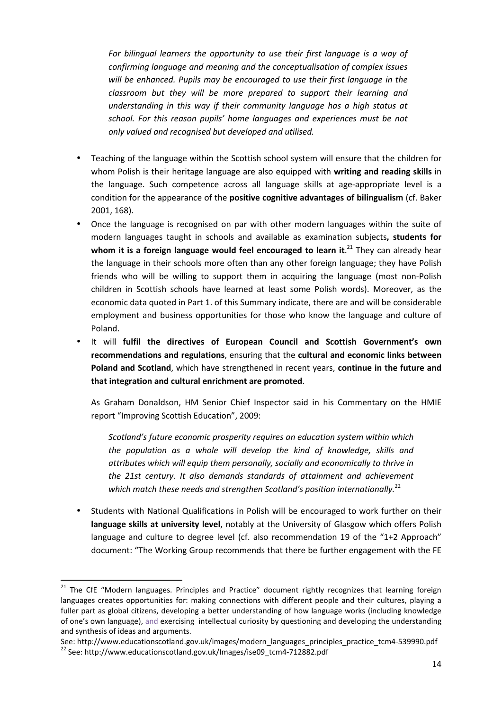*For bilingual learners the opportunity to use their first language is a way of confirming language and meaning and the conceptualisation of complex issues will be enhanced. Pupils may be encouraged to use their first language in the classroom but they will be more prepared to support their learning and understanding in this way if their community language has a high status at school. For this reason pupils' home languages and experiences must be not only valued and recognised but developed and utilised.* 

- Teaching of the language within the Scottish school system will ensure that the children for whom Polish is their heritage language are also equipped with **writing and reading skills** in the language. Such competence across all language skills at age-appropriate level is a condition for the appearance of the **positive cognitive advantages of bilingualism** (cf. Baker 2001, 168).
- Once the language is recognised on par with other modern languages within the suite of modern languages taught in schools and available as examination subjects**, students for**  whom it is a foreign language would feel encouraged to learn it.<sup>21</sup> They can already hear the language in their schools more often than any other foreign language; they have Polish friends who will be willing to support them in acquiring the language (most non-Polish children in Scottish schools have learned at least some Polish words). Moreover, as the economic data quoted in Part 1. of this Summary indicate, there are and will be considerable employment and business opportunities for those who know the language and culture of Poland.
- It will **fulfil the directives of European Council and Scottish Government's own recommendations and regulations**, ensuring that the **cultural and economic links between Poland and Scotland**, which have strengthened in recent years, **continue in the future and that integration and cultural enrichment are promoted**.

As Graham Donaldson, HM Senior Chief Inspector said in his Commentary on the HMIE report "Improving Scottish Education", 2009:

*Scotland's future economic prosperity requires an education system within which the population as a whole will develop the kind of knowledge, skills and attributes which will equip them personally, socially and economically to thrive in the 21st century. It also demands standards of attainment and achievement*  which match these needs and strengthen Scotland's position internationally.<sup>22</sup>

• Students with National Qualifications in Polish will be encouraged to work further on their **language skills at university level**, notably at the University of Glasgow which offers Polish language and culture to degree level (cf. also recommendation 19 of the "1+2 Approach" document: "The Working Group recommends that there be further engagement with the FE

 $\overline{\phantom{0}}$ 

See: http://www.educationscotland.gov.uk/images/modern\_languages\_principles\_practice\_tcm4-539990.pdf <sup>22</sup> See: http://www.educationscotland.gov.uk/Images/ise09\_tcm4-712882.pdf

<sup>&</sup>lt;sup>21</sup> The CfE "Modern languages. Principles and Practice" document rightly recognizes that learning foreign languages creates opportunities for: making connections with different people and their cultures, playing a fuller part as global citizens, developing a better understanding of how language works (including knowledge of one's own language), and exercising intellectual curiosity by questioning and developing the understanding and synthesis of ideas and arguments.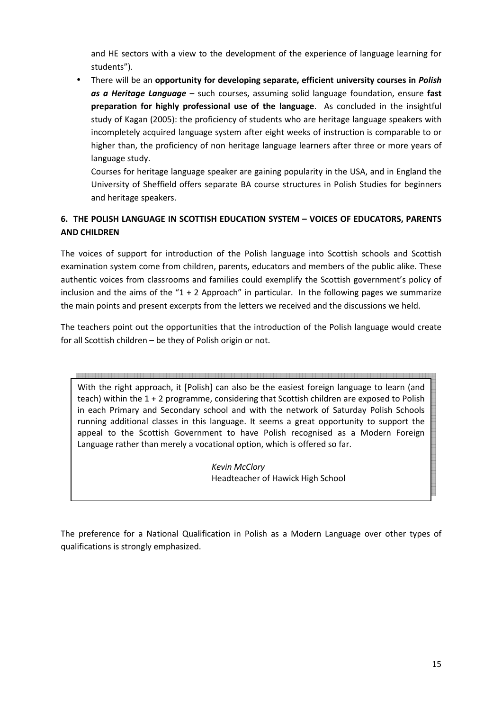and HE sectors with a view to the development of the experience of language learning for students").

• There will be an **opportunity for developing separate, efficient university courses in** *Polish as a Heritage Language* – such courses, assuming solid language foundation, ensure **fast preparation for highly professional use of the language**. As concluded in the insightful study of Kagan (2005): the proficiency of students who are heritage language speakers with incompletely acquired language system after eight weeks of instruction is comparable to or higher than, the proficiency of non heritage language learners after three or more years of language study.

Courses for heritage language speaker are gaining popularity in the USA, and in England the University of Sheffield offers separate BA course structures in Polish Studies for beginners and heritage speakers.

## **6. THE POLISH LANGUAGE IN SCOTTISH EDUCATION SYSTEM – VOICES OF EDUCATORS, PARENTS AND CHILDREN**

The voices of support for introduction of the Polish language into Scottish schools and Scottish examination system come from children, parents, educators and members of the public alike. These authentic voices from classrooms and families could exemplify the Scottish government's policy of inclusion and the aims of the " $1 + 2$  Approach" in particular. In the following pages we summarize the main points and present excerpts from the letters we received and the discussions we held.

The teachers point out the opportunities that the introduction of the Polish language would create for all Scottish children – be they of Polish origin or not.

<br>룅쬤챵쫗뫛쪉퀂폋즟떏즗뵑봕왰2퐄겶줣죷큹즚땞뵑뵹죟찞늌겶e舌떖ę뵞뵹잸봌퐄궠꿞죷큹즗땞룅뵹됳쨒킞궠죷꿦킃콭뵞××쯩뿦/줐즗홂즗킂«)룅뇧짷킞궠乌큷킂큷딣χ뵹븧꾛궠乌로혘

With the right approach, it [Polish] can also be the easiest foreign language to learn (and teach) within the 1 + 2 programme, considering that Scottish children are exposed to Polish in each Primary and Secondary school and with the network of Saturday Polish Schools running additional classes in this language. It seems a great opportunity to support the appeal to the Scottish Government to have Polish recognised as a Modern Foreign Language rather than merely a vocational option, which is offered so far.

> *Kevin McClory*  **Headteacher of Hawick High School**

The preference for a National Qualification in Polish as a Modern Language over other types of qualifications is strongly emphasized.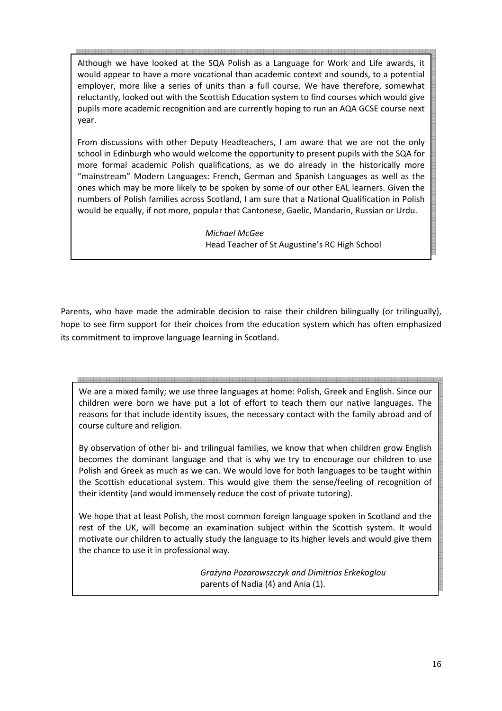Although we have looked at the SQA Polish as a Language for Work and Life awards, it would appear to have a more vocational than academic context and sounds, to a potential employer, more like a series of units than a full course. We have therefore, somewhat reluctantly, looked out with the Scottish Education system to find courses which would give pupils more academic recognition and are currently hoping to run an AQA GCSE course next year.

From discussions with other Deputy Headteachers, I am aware that we are not the only school in Edinburgh who would welcome the opportunity to present pupils with the SQA for more formal academic Polish qualifications, as we do already in the historically more "mainstream" Modern Languages: French, German and Spanish Languages as well as the ones which may be more likely to be spoken by some of our other EAL learners. Given the numbers of Polish families across Scotland, I am sure that a National Qualification in Polish would be equally, if not more, popular that Cantonese, Gaelic, Mandarin, Russian or Urdu.

> *Michael McGee* Head Teacher of St Augustine's RC High School

Parents, who have made the admirable decision to raise their children bilingually (or trilingually), hope to see firm support for their choices from the education system which has often emphasized its commitment to improve language learning in Scotland.

We are a mixed family; we use three languages at home: Polish, Greek and English. Since our children were born we have put a lot of effort to teach them our native languages. The reasons for that include identity issues, the necessary contact with the family abroad and of course culture and religion.

By observation of other bi- and trilingual families, we know that when children grow English becomes the dominant language and that is why we try to encourage our children to use Polish and Greek as much as we can. We would love for both languages to be taught within the Scottish educational system. This would give them the sense/feeling of recognition of their identity (and would immensely reduce the cost of private tutoring).

We hope that at least Polish, the most common foreign language spoken in Scotland and the rest of the UK, will become an examination subject within the Scottish system. It would motivate our children to actually study the language to its higher levels and would give them the chance to use it in professional way.

> *Grażyna Pozarowszczyk and Dimitrios Erkekoglou*  parents of Nadia (4) and Ania (1).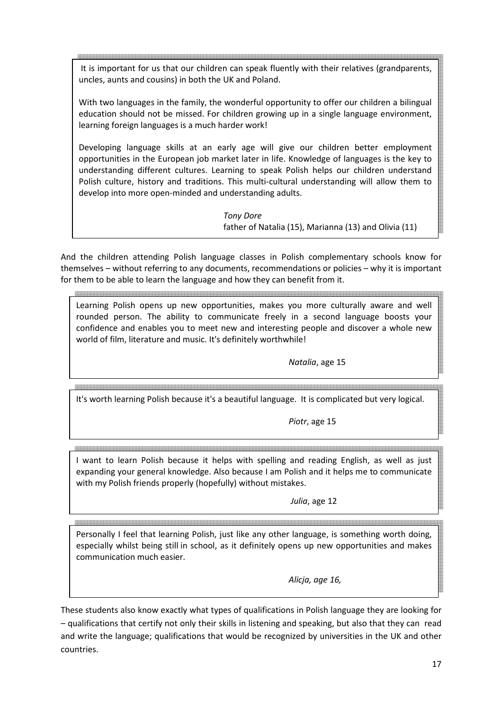It is important for us that our children can speak fluently with their relatives (grandparents, uncles, aunts and cousins) in both the UK and Poland.

With two languages in the family, the wonderful opportunity to offer our children a bilingual education should not be missed. For children growing up in a single language environment, learning foreign languages is a much harder work!

Developing language skills at an early age will give our children better employment opportunities in the European job market later in life. Knowledge of languages is the key to understanding different cultures. Learning to speak Polish helps our children understand Polish culture, history and traditions. This multi-cultural understanding will allow them to develop into more open-minded and understanding adults.

> *Tony Dore* father of Natalia (15), Marianna (13) and Olivia (11)

And the children attending Polish language classes in Polish complementary schools know for themselves – without referring to any documents, recommendations or policies – why it is important for them to be able to learn the language and how they can benefit from it.

Learning Polish opens up new opportunities, makes you more culturally aware and well rounded person. The ability to communicate freely in a second language boosts your confidence and enables you to meet new and interesting people and discover a whole new world of film, literature and music. It's definitely worthwhile!

 *Natalia*, age 15

It's worth learning Polish because it's a beautiful language. It is complicated but very logical.

*Piotr*, age 15

I want to learn Polish because it helps with spelling and reading English, as well as just expanding your general knowledge. Also because I am Polish and it helps me to communicate

with my Polish friends properly (hopefully) without mistakes.

*Julia*, age 12

Personally I feel that learning Polish, just like any other language, is something worth doing, especially whilst being still in school, as it definitely opens up new opportunities and makes communication much easier.

*Alicja, age 16,* 

These students also know exactly what types of qualifications in Polish language they are looking for – qualifications that certify not only their skills in listening and speaking, but also that they can read and write the language; qualifications that would be recognized by universities in the UK and other countries.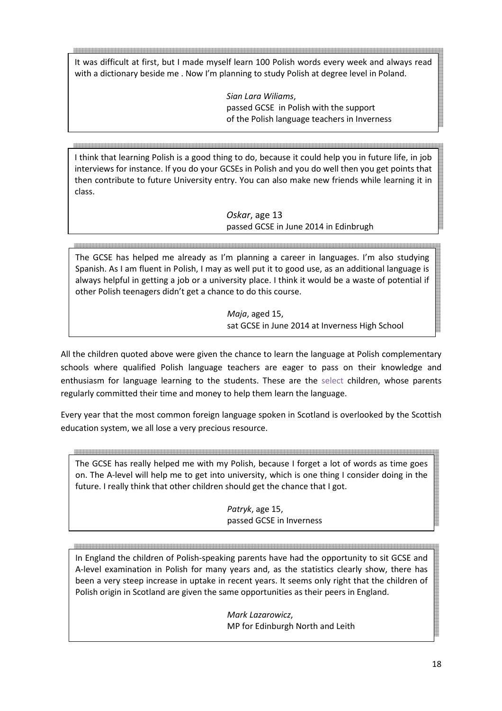It was difficult at first, but I made myself learn 100 Polish words every week and always read with a dictionary beside me . Now I'm planning to study Polish at degree level in Poland.

> *Sian Lara Wiliams*, passed GCSE in Polish with the support of the Polish language teachers in Inverness

I think that learning Polish is a good thing to do, because it could help you in future life, in job interviews for instance. If you do your GCSEs in Polish and you do well then you get points that then contribute to future University entry. You can also make new friends while learning it in class.

> *Oskar*, age 13 passed GCSE in June 2014 in Edinbrugh

ala laia la laia la laia la la la la la la la la la The GCSE has helped me already as I'm planning a career in languages. I'm also studying Spanish. As I am fluent in Polish, I may as well put it to good use, as an additional language is always helpful in getting a job or a university place. I think it would be a waste of potential if other Polish teenagers didn't get a chance to do this course.

> *Maja*, aged 15, sat GCSE in June 2014 at Inverness High School

All the children quoted above were given the chance to learn the language at Polish complementary schools where qualified Polish language teachers are eager to pass on their knowledge and enthusiasm for language learning to the students. These are the select children, whose parents regularly committed their time and money to help them learn the language.

Every year that the most common foreign language spoken in Scotland is overlooked by the Scottish education system, we all lose a very precious resource.

The GCSE has really helped me with my Polish, because I forget a lot of words as time goes on. The A-level will help me to get into university, which is one thing I consider doing in the future. I really think that other children should get the chance that I got.

*Patryk*, age 15, passed GCSE in Inverness

In England the children of Polish-speaking parents have had the opportunity to sit GCSE and A-level examination in Polish for many years and, as the statistics clearly show, there has been a very steep increase in uptake in recent years. It seems only right that the children of Polish origin in Scotland are given the same opportunities as their peers in England.

> *Mark Lazarowicz*, MP for Edinburgh North and Leith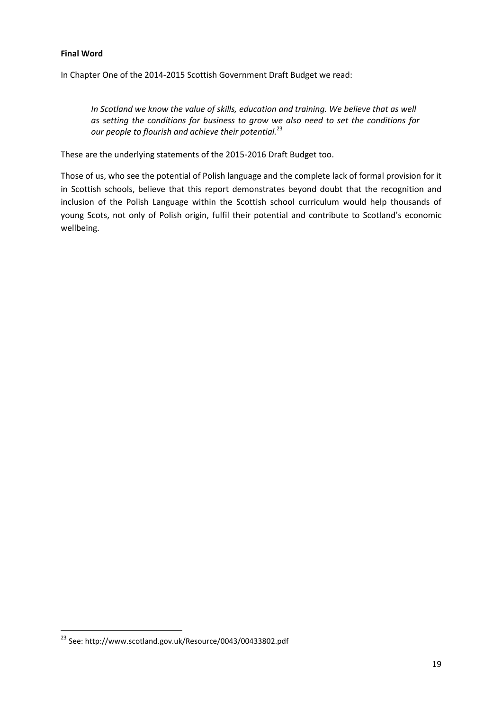#### **Final Word**

In Chapter One of the 2014-2015 Scottish Government Draft Budget we read:

*In Scotland we know the value of skills, education and training. We believe that as well as setting the conditions for business to grow we also need to set the conditions for our people to flourish and achieve their potential.*<sup>23</sup>

These are the underlying statements of the 2015-2016 Draft Budget too.

Those of us, who see the potential of Polish language and the complete lack of formal provision for it in Scottish schools, believe that this report demonstrates beyond doubt that the recognition and inclusion of the Polish Language within the Scottish school curriculum would help thousands of young Scots, not only of Polish origin, fulfil their potential and contribute to Scotland's economic wellbeing.

 $\overline{\phantom{0}}$ 

<sup>23</sup> See: http://www.scotland.gov.uk/Resource/0043/00433802.pdf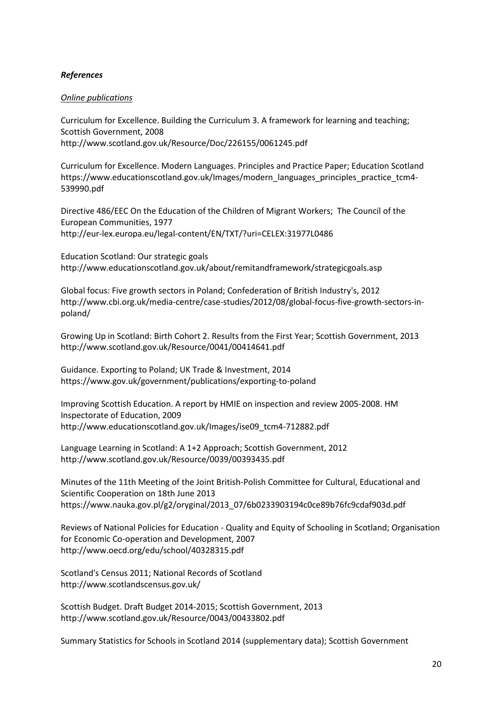#### *References*

#### *Online publications*

Curriculum for Excellence. Building the Curriculum 3. A framework for learning and teaching; Scottish Government, 2008 http://www.scotland.gov.uk/Resource/Doc/226155/0061245.pdf

Curriculum for Excellence. Modern Languages. Principles and Practice Paper; Education Scotland https://www.educationscotland.gov.uk/Images/modern\_languages\_principles\_practice\_tcm4- 539990.pdf

Directive 486/EEC On the Education of the Children of Migrant Workers; The Council of the European Communities, 1977 http://eur-lex.europa.eu/legal-content/EN/TXT/?uri=CELEX:31977L0486

Education Scotland: Our strategic goals http://www.educationscotland.gov.uk/about/remitandframework/strategicgoals.asp

Global focus: Five growth sectors in Poland; Confederation of British Industry's, 2012 http://www.cbi.org.uk/media-centre/case-studies/2012/08/global-focus-five-growth-sectors-inpoland/

Growing Up in Scotland: Birth Cohort 2. Results from the First Year; Scottish Government, 2013 http://www.scotland.gov.uk/Resource/0041/00414641.pdf

Guidance. Exporting to Poland; UK Trade & Investment, 2014 https://www.gov.uk/government/publications/exporting-to-poland

Improving Scottish Education. A report by HMIE on inspection and review 2005-2008. HM Inspectorate of Education, 2009 http://www.educationscotland.gov.uk/Images/ise09\_tcm4-712882.pdf

Language Learning in Scotland: A 1+2 Approach; Scottish Government, 2012 http://www.scotland.gov.uk/Resource/0039/00393435.pdf

Minutes of the 11th Meeting of the Joint British-Polish Committee for Cultural, Educational and Scientific Cooperation on 18th June 2013 https://www.nauka.gov.pl/g2/oryginal/2013\_07/6b0233903194c0ce89b76fc9cdaf903d.pdf

Reviews of National Policies for Education - Quality and Equity of Schooling in Scotland; Organisation for Economic Co-operation and Development, 2007 http://www.oecd.org/edu/school/40328315.pdf

Scotland's Census 2011; National Records of Scotland http://www.scotlandscensus.gov.uk/

Scottish Budget. Draft Budget 2014-2015; Scottish Government, 2013 http://www.scotland.gov.uk/Resource/0043/00433802.pdf

Summary Statistics for Schools in Scotland 2014 (supplementary data); Scottish Government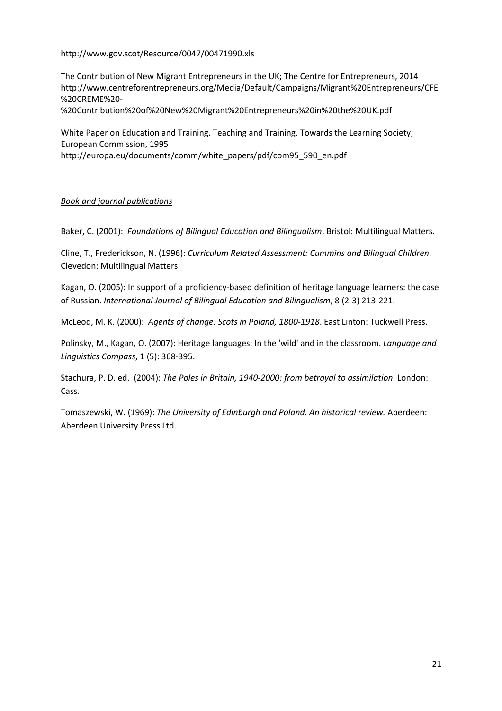http://www.gov.scot/Resource/0047/00471990.xls

The Contribution of New Migrant Entrepreneurs in the UK; The Centre for Entrepreneurs, 2014 http://www.centreforentrepreneurs.org/Media/Default/Campaigns/Migrant%20Entrepreneurs/CFE %20CREME%20-

%20Contribution%20of%20New%20Migrant%20Entrepreneurs%20in%20the%20UK.pdf

White Paper on Education and Training. Teaching and Training. Towards the Learning Society; European Commission, 1995

http://europa.eu/documents/comm/white\_papers/pdf/com95\_590\_en.pdf

#### *Book and journal publications*

Baker, C. (2001): *Foundations of Bilingual Education and Bilingualism*. Bristol: Multilingual Matters.

Cline, T., Frederickson, N. (1996): *Curriculum Related Assessment: Cummins and Bilingual Children*. Clevedon: Multilingual Matters.

Kagan, O. (2005): In support of a proficiency-based definition of heritage language learners: the case of Russian. *International Journal of Bilingual Education and Bilingualism*, 8 (2-3) 213-221.

McLeod, M. K. (2000): *Agents of change: Scots in Poland, 1800-1918*. East Linton: Tuckwell Press.

Polinsky, M., Kagan, O. (2007): Heritage languages: In the 'wild' and in the classroom. *Language and Linguistics Compass*, 1 (5): 368-395.

Stachura, P. D. ed. (2004): *The Poles in Britain, 1940-2000: from betrayal to assimilation*. London: Cass.

Tomaszewski, W. (1969): *The University of Edinburgh and Poland. An historical review.* Aberdeen: Aberdeen University Press Ltd.